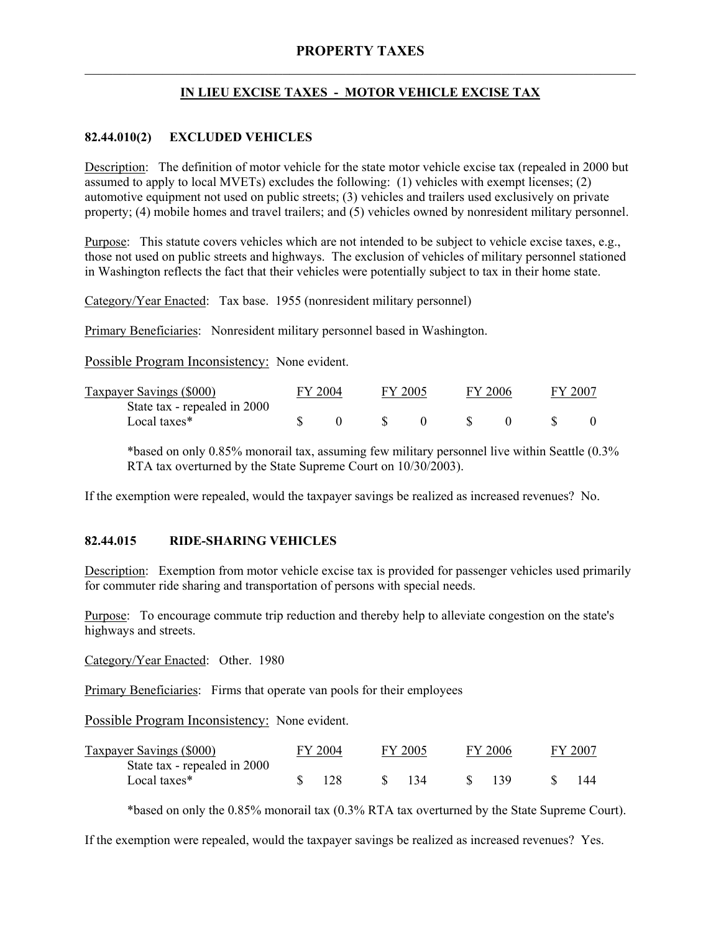# **IN LIEU EXCISE TAXES - MOTOR VEHICLE EXCISE TAX**

## **82.44.010(2) EXCLUDED VEHICLES**

Description: The definition of motor vehicle for the state motor vehicle excise tax (repealed in 2000 but assumed to apply to local MVETs) excludes the following: (1) vehicles with exempt licenses; (2) automotive equipment not used on public streets; (3) vehicles and trailers used exclusively on private property; (4) mobile homes and travel trailers; and (5) vehicles owned by nonresident military personnel.

Purpose: This statute covers vehicles which are not intended to be subject to vehicle excise taxes, e.g., those not used on public streets and highways. The exclusion of vehicles of military personnel stationed in Washington reflects the fact that their vehicles were potentially subject to tax in their home state.

Category/Year Enacted: Tax base. 1955 (nonresident military personnel)

Primary Beneficiaries: Nonresident military personnel based in Washington.

Possible Program Inconsistency: None evident.

| Taxpayer Savings (\$000)     | FY 2004 |  | FY 2005 |  | FY 2006 |  | FY 2007 |  |
|------------------------------|---------|--|---------|--|---------|--|---------|--|
| State tax - repealed in 2000 |         |  |         |  |         |  |         |  |
| Local taxes*                 |         |  |         |  |         |  |         |  |

\*based on only 0.85% monorail tax, assuming few military personnel live within Seattle (0.3% RTA tax overturned by the State Supreme Court on 10/30/2003).

If the exemption were repealed, would the taxpayer savings be realized as increased revenues? No.

### **82.44.015 RIDE-SHARING VEHICLES**

Description: Exemption from motor vehicle excise tax is provided for passenger vehicles used primarily for commuter ride sharing and transportation of persons with special needs.

Purpose: To encourage commute trip reduction and thereby help to alleviate congestion on the state's highways and streets.

Category/Year Enacted: Other. 1980

Primary Beneficiaries: Firms that operate van pools for their employees

Possible Program Inconsistency: None evident.

| Taxpayer Savings (\$000)     | FY 2004 |      | FY 2005 |  | FY 2006 |  | FY 2007 |  |
|------------------------------|---------|------|---------|--|---------|--|---------|--|
| State tax - repealed in 2000 |         |      |         |  |         |  |         |  |
| Local taxes*                 |         | -128 | \$134   |  | -139    |  |         |  |

\*based on only the 0.85% monorail tax (0.3% RTA tax overturned by the State Supreme Court).

If the exemption were repealed, would the taxpayer savings be realized as increased revenues? Yes.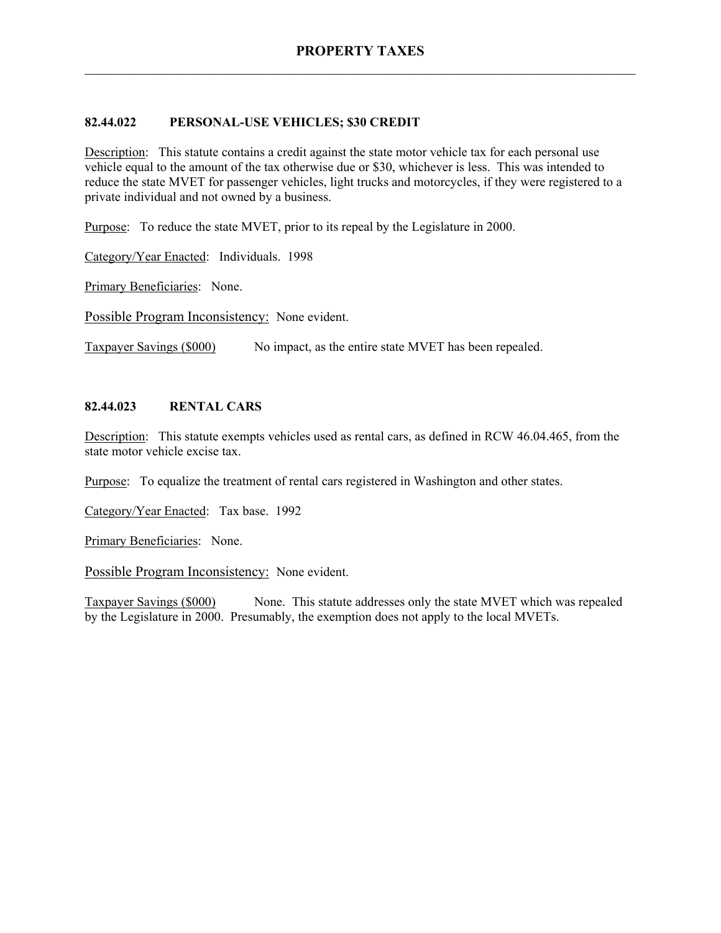#### **82.44.022 PERSONAL-USE VEHICLES; \$30 CREDIT**

Description: This statute contains a credit against the state motor vehicle tax for each personal use vehicle equal to the amount of the tax otherwise due or \$30, whichever is less. This was intended to reduce the state MVET for passenger vehicles, light trucks and motorcycles, if they were registered to a private individual and not owned by a business.

Purpose: To reduce the state MVET, prior to its repeal by the Legislature in 2000.

Category/Year Enacted: Individuals. 1998

Primary Beneficiaries: None.

Possible Program Inconsistency: None evident.

Taxpayer Savings (\$000) No impact, as the entire state MVET has been repealed.

### **82.44.023 RENTAL CARS**

Description: This statute exempts vehicles used as rental cars, as defined in RCW 46.04.465, from the state motor vehicle excise tax.

Purpose: To equalize the treatment of rental cars registered in Washington and other states.

Category/Year Enacted: Tax base. 1992

Primary Beneficiaries: None.

Possible Program Inconsistency: None evident.

Taxpayer Savings (\$000) None. This statute addresses only the state MVET which was repealed by the Legislature in 2000. Presumably, the exemption does not apply to the local MVETs.